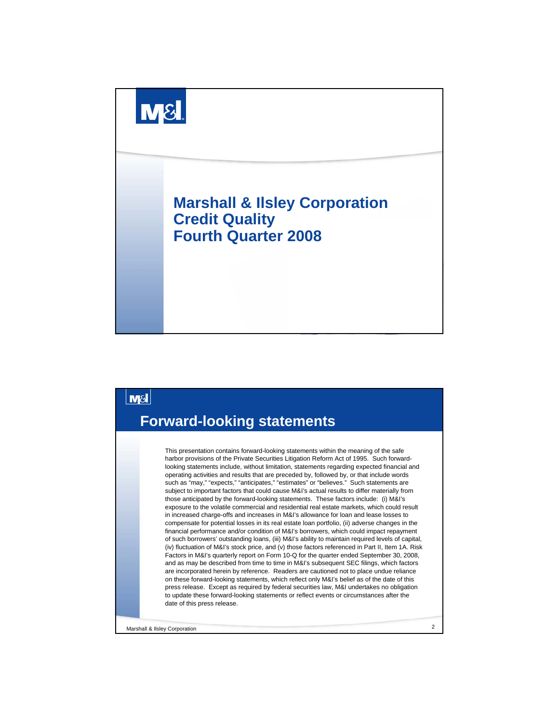



Marshall & Ilsley Corporation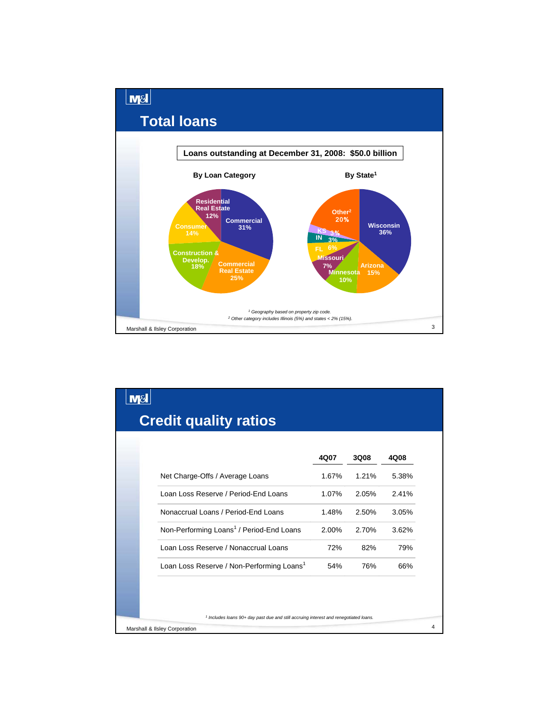

|                                                       | 4Q07  | 3Q08  | 4Q08  |
|-------------------------------------------------------|-------|-------|-------|
| Net Charge-Offs / Average Loans                       | 1.67% | 1.21% | 5.38% |
| Loan Loss Reserve / Period-End Loans                  | 1.07% | 2.05% | 2.41% |
| Nonaccrual Loans / Period-End Loans                   | 1.48% | 2.50% | 3.05% |
| Non-Performing Loans <sup>1</sup> / Period-End Loans  | 2.00% | 2.70% | 3.62% |
| Loan Loss Reserve / Nonaccrual Loans                  | 72%   | 82%   | 79%   |
| Loan Loss Reserve / Non-Performing Loans <sup>1</sup> | 54%   | 76%   | 66%   |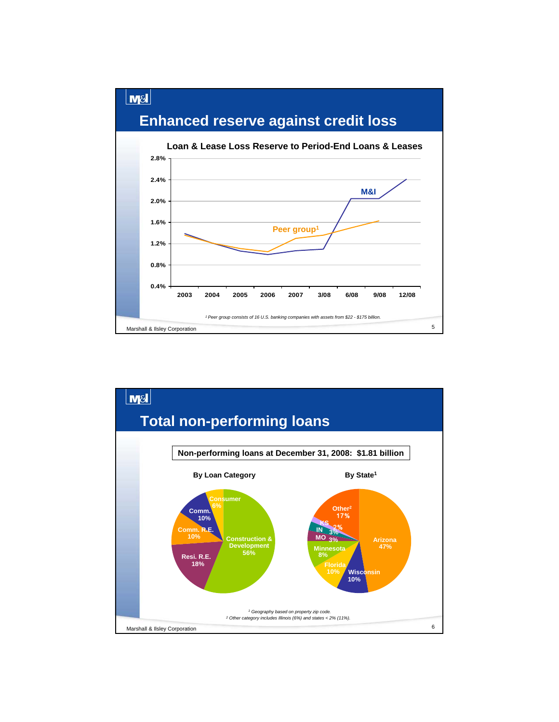

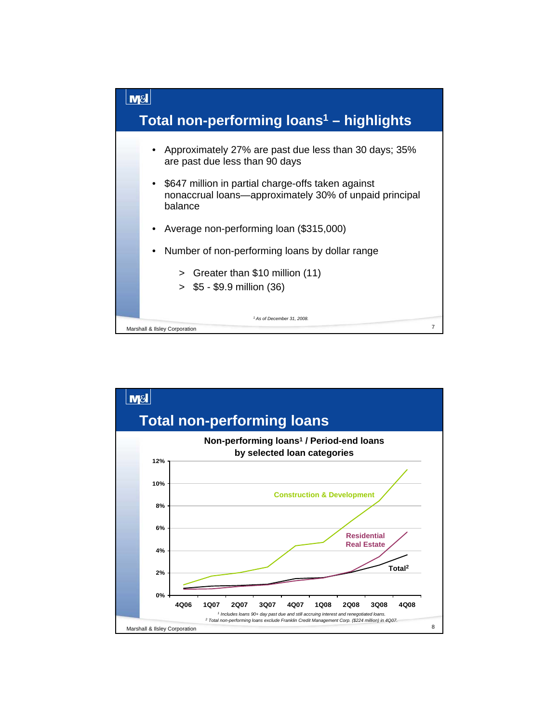

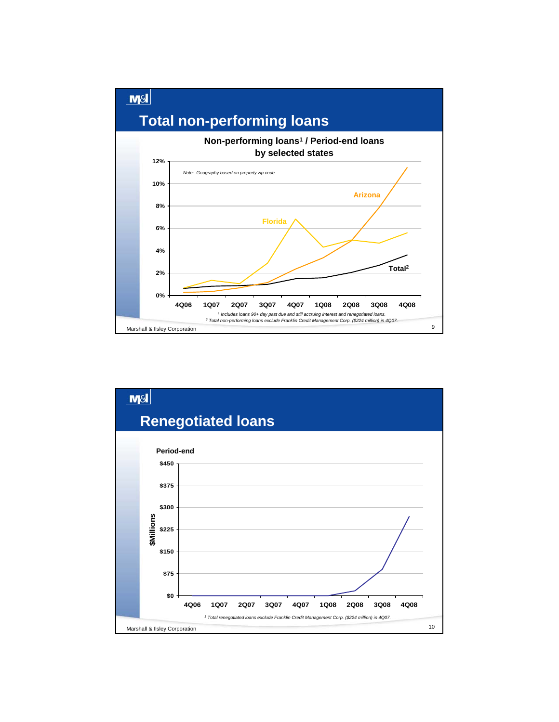

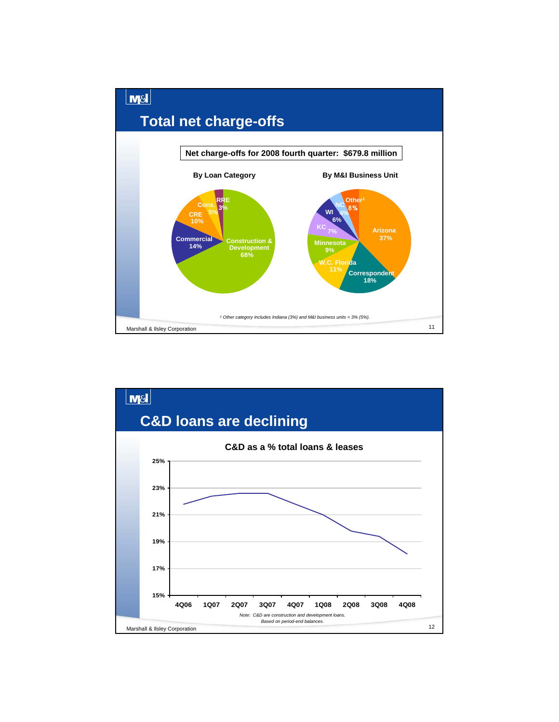

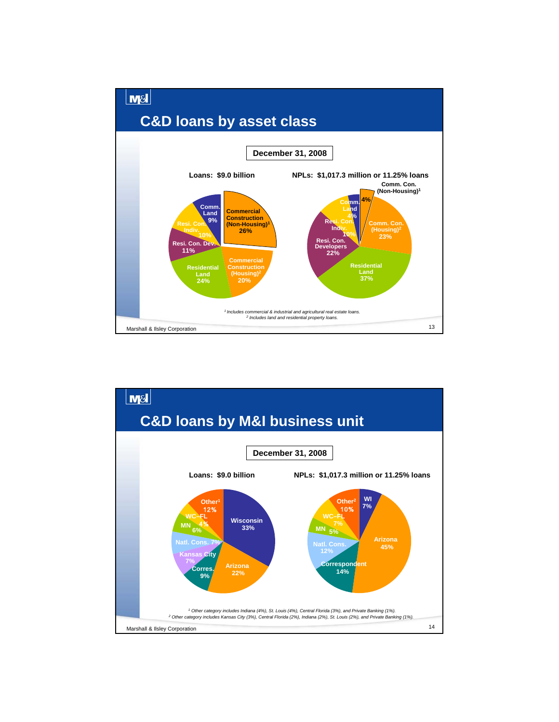

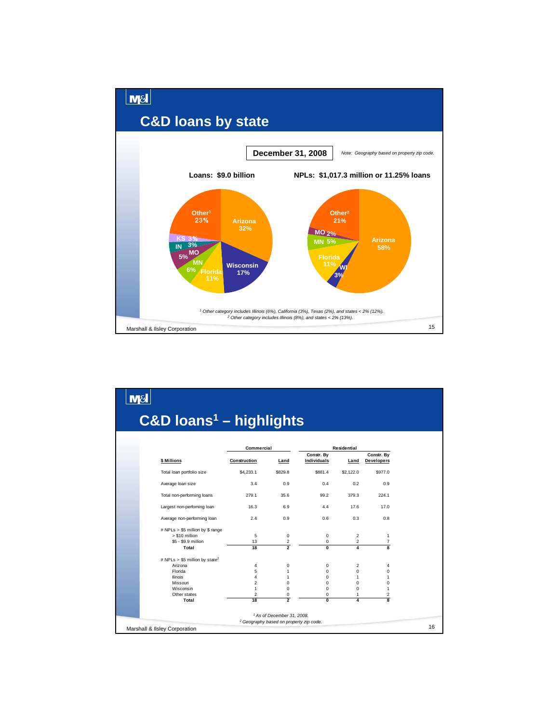

| Commercial   |                                                                             |                                                        |                                                                                                                                                                                                   |                                                                                                    |                                                                               |
|--------------|-----------------------------------------------------------------------------|--------------------------------------------------------|---------------------------------------------------------------------------------------------------------------------------------------------------------------------------------------------------|----------------------------------------------------------------------------------------------------|-------------------------------------------------------------------------------|
| Construction | Land                                                                        | Constr. By<br>Individuals                              | Land                                                                                                                                                                                              | Constr. By<br><b>Developers</b>                                                                    |                                                                               |
| \$4,233.1    | \$829.8                                                                     | \$881.4                                                | \$2,122.0                                                                                                                                                                                         | \$977.0                                                                                            |                                                                               |
| 3.4          | 0.9                                                                         | 0.4                                                    | 0.2                                                                                                                                                                                               | 0.9                                                                                                |                                                                               |
| 279.1        | 35.6                                                                        | 99.2                                                   | 379.3                                                                                                                                                                                             | 224.1                                                                                              |                                                                               |
| 16.3         | 6.9                                                                         | 4.4                                                    | 17.6                                                                                                                                                                                              | 17.0                                                                                               |                                                                               |
| 2.4          | 0.9                                                                         | 0.6                                                    | 0.3                                                                                                                                                                                               | 0.8                                                                                                |                                                                               |
|              |                                                                             |                                                        |                                                                                                                                                                                                   |                                                                                                    |                                                                               |
|              |                                                                             |                                                        |                                                                                                                                                                                                   |                                                                                                    |                                                                               |
| 18           | $\overline{2}$                                                              | $\overline{0}$                                         | $\overline{\mathbf{A}}$                                                                                                                                                                           | R                                                                                                  |                                                                               |
|              |                                                                             |                                                        |                                                                                                                                                                                                   |                                                                                                    |                                                                               |
| 4            | 0                                                                           | 0                                                      | 2                                                                                                                                                                                                 | 4                                                                                                  |                                                                               |
|              |                                                                             |                                                        |                                                                                                                                                                                                   |                                                                                                    |                                                                               |
|              |                                                                             |                                                        |                                                                                                                                                                                                   |                                                                                                    |                                                                               |
|              |                                                                             |                                                        |                                                                                                                                                                                                   |                                                                                                    |                                                                               |
|              |                                                                             |                                                        |                                                                                                                                                                                                   |                                                                                                    |                                                                               |
|              |                                                                             |                                                        |                                                                                                                                                                                                   |                                                                                                    |                                                                               |
|              |                                                                             |                                                        |                                                                                                                                                                                                   |                                                                                                    |                                                                               |
|              |                                                                             |                                                        |                                                                                                                                                                                                   |                                                                                                    |                                                                               |
|              | 5<br>13<br>5<br>4<br>$\overline{2}$<br>$\mathbf{1}$<br>$\overline{2}$<br>18 | 0<br>2<br>1<br>$\mathbf{1}$<br>0<br>0<br>$\frac{0}{2}$ | $C&D$ loans <sup>1</sup> – highlights<br>0<br>0<br>$\Omega$<br>$\Omega$<br>$\Omega$<br>0<br>0<br>0<br><sup>1</sup> As of December 31, 2008.<br><sup>2</sup> Geography based on property zip code. | <b>Residential</b><br>$\overline{2}$<br>$\overline{2}$<br>$\Omega$<br>1<br>$\Omega$<br>0<br>1<br>4 | 1<br>$\overline{7}$<br>$\mathbf 0$<br>1<br>$\Omega$<br>$\mathbf{1}$<br>2<br>8 |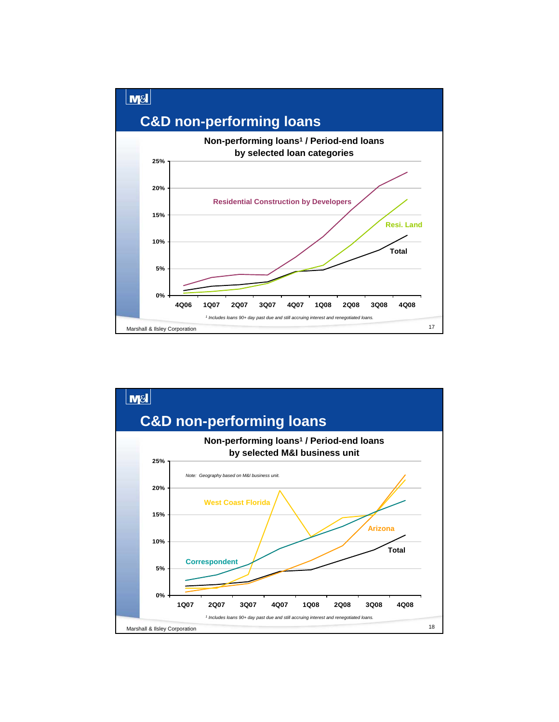

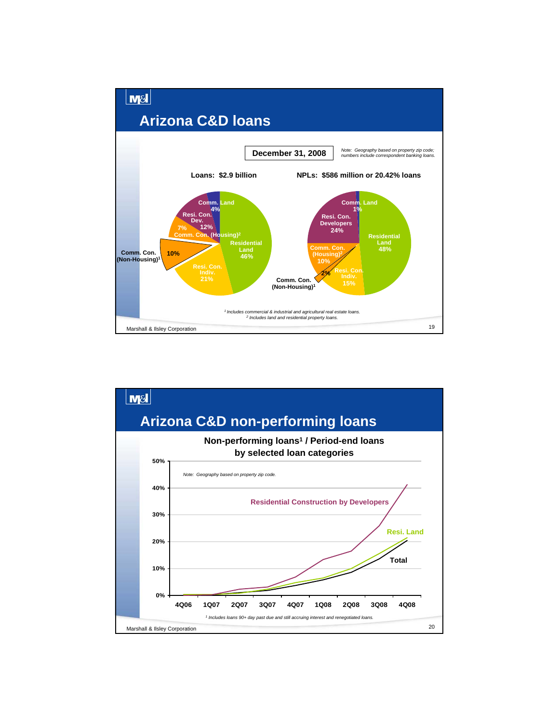

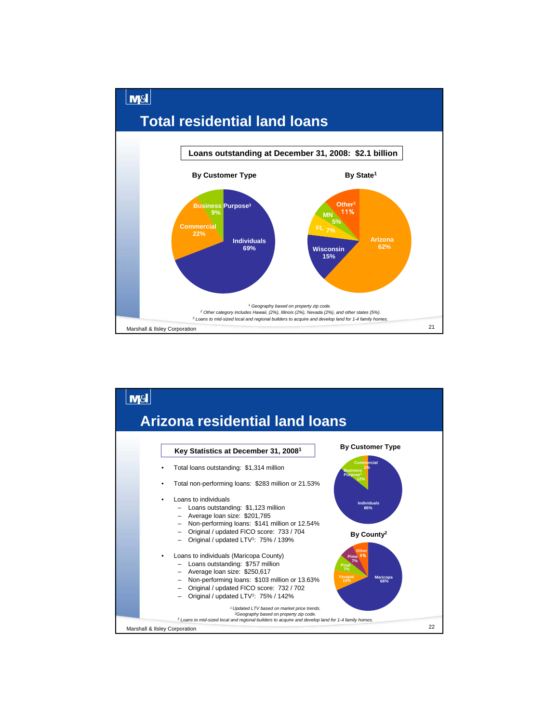

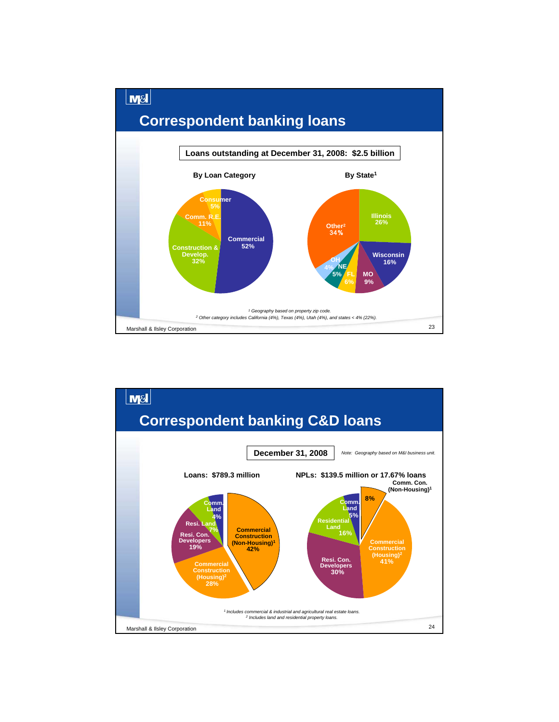

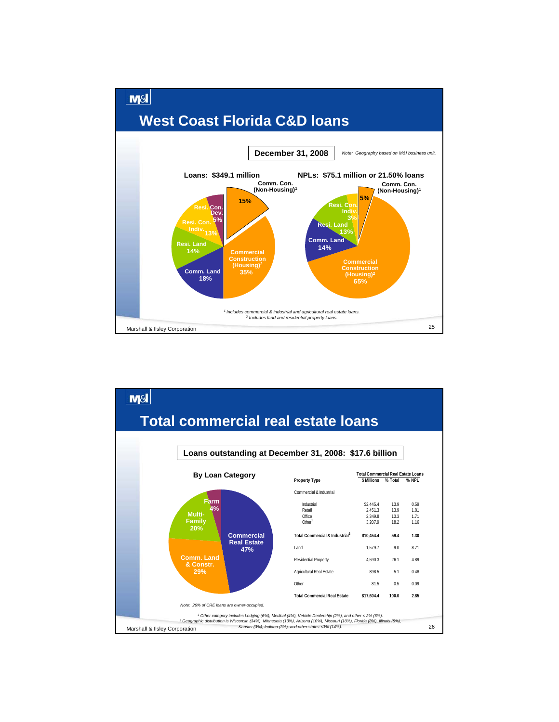

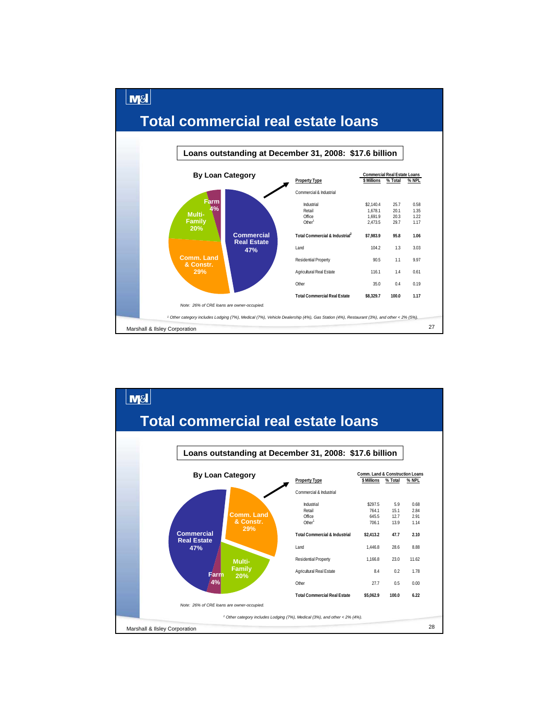

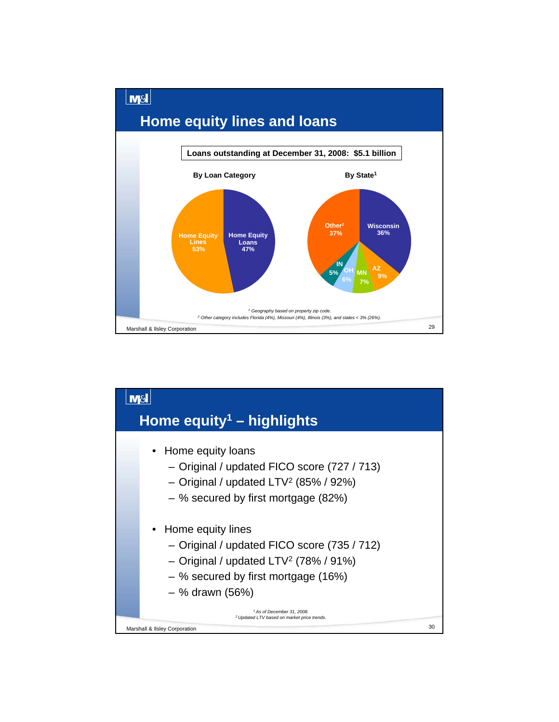